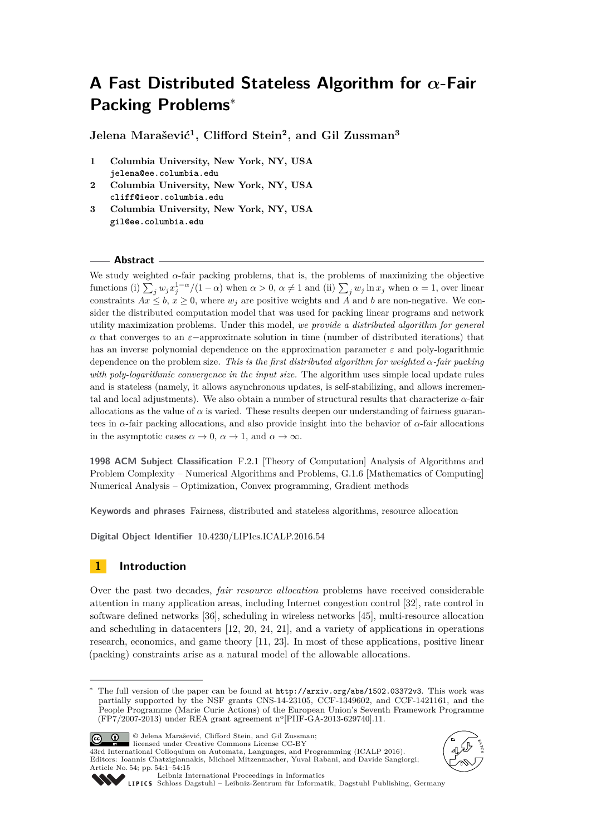# <span id="page-0-0"></span>**A Fast Distributed Stateless Algorithm for** *α***-Fair Packing Problems**<sup>∗</sup>

**Jelena Marašević<sup>1</sup> , Clifford Stein<sup>2</sup> , and Gil Zussman<sup>3</sup>**

- **1 Columbia University, New York, NY, USA jelena@ee.columbia.edu**
- **2 Columbia University, New York, NY, USA cliff@ieor.columbia.edu**
- **3 Columbia University, New York, NY, USA gil@ee.columbia.edu**

## **Abstract**

We study weighted  $\alpha$ -fair packing problems, that is, the problems of maximizing the objective functions (i)  $\sum_j w_j x_j^{1-\alpha}/(1-\alpha)$  when  $\alpha > 0$ ,  $\alpha \neq 1$  and (ii)  $\sum_j w_j \ln x_j$  when  $\alpha = 1$ , over linear constraints  $Ax \leq b$ ,  $x \geq 0$ , where  $w_i$  are positive weights and *A* and *b* are non-negative. We consider the distributed computation model that was used for packing linear programs and network utility maximization problems. Under this model, *we provide a distributed algorithm for general*  $α$  that converges to an  $ε$ −approximate solution in time (number of distributed iterations) that has an inverse polynomial dependence on the approximation parameter *ε* and poly-logarithmic dependence on the problem size. *This is the first distributed algorithm for weighted α-fair packing with poly-logarithmic convergence in the input size.* The algorithm uses simple local update rules and is stateless (namely, it allows asynchronous updates, is self-stabilizing, and allows incremental and local adjustments). We also obtain a number of structural results that characterize *α*-fair allocations as the value of  $\alpha$  is varied. These results deepen our understanding of fairness guarantees in *α*-fair packing allocations, and also provide insight into the behavior of *α*-fair allocations in the asymptotic cases  $\alpha \to 0$ ,  $\alpha \to 1$ , and  $\alpha \to \infty$ .

**1998 ACM Subject Classification** F.2.1 [Theory of Computation] Analysis of Algorithms and Problem Complexity – Numerical Algorithms and Problems, G.1.6 [Mathematics of Computing] Numerical Analysis – Optimization, Convex programming, Gradient methods

**Keywords and phrases** Fairness, distributed and stateless algorithms, resource allocation

**Digital Object Identifier** [10.4230/LIPIcs.ICALP.2016.54](http://dx.doi.org/10.4230/LIPIcs.ICALP.2016.54)

## **1 Introduction**

Over the past two decades, *fair resource allocation* problems have received considerable attention in many application areas, including Internet congestion control [\[32\]](#page-13-0), rate control in software defined networks [\[36\]](#page-13-1), scheduling in wireless networks [\[45\]](#page-14-0), multi-resource allocation and scheduling in datacenters [\[12,](#page-12-0) [20,](#page-12-1) [24,](#page-13-2) [21\]](#page-13-3), and a variety of applications in operations research, economics, and game theory [\[11,](#page-12-2) [23\]](#page-13-4). In most of these applications, positive linear (packing) constraints arise as a natural model of the allowable allocations.

<sup>∗</sup> The full version of the paper can be found at <http://arxiv.org/abs/1502.03372v3>. This work was partially supported by the NSF grants CNS-14-23105, CCF-1349602, and CCF-1421161, and the People Programme (Marie Curie Actions) of the European Union's Seventh Framework Programme (FP7/2007-2013) under REA grant agreement n<sup>o</sup> [PIIF-GA-2013-629740].11.



© Jelena Marašević, Clifford Stein, and Gil Zussman;

1384 International Colloquium on Automata, Languages, and Programming (ICALP 2016). Editors: Ioannis Chatzigiannakis, Michael Mitzenmacher, Yuval Rabani, and Davide Sangiorgi; Article No. 54; pp. 54:1–54[:15](#page-14-1)





[Leibniz International Proceedings in Informatics](http://www.dagstuhl.de/lipics/)

[Schloss Dagstuhl – Leibniz-Zentrum für Informatik, Dagstuhl Publishing, Germany](http://www.dagstuhl.de)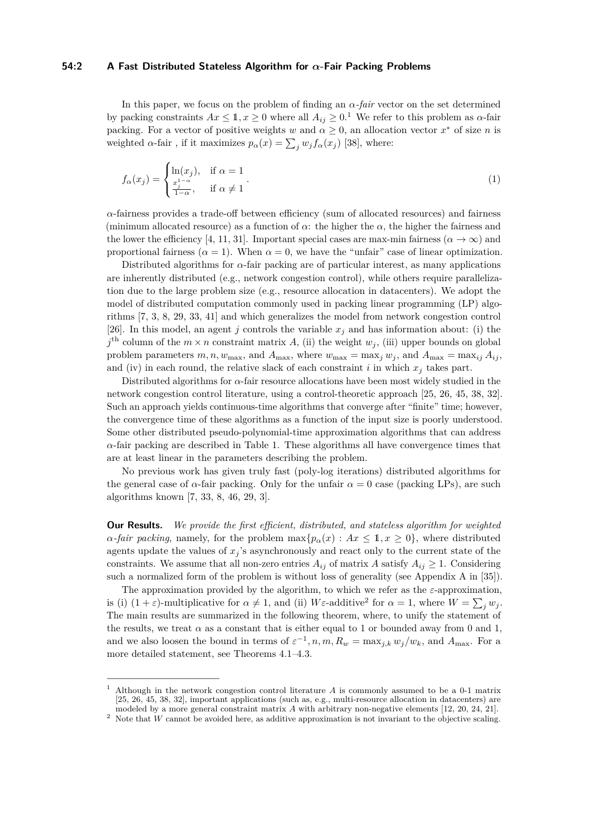## **54:2 A Fast Distributed Stateless Algorithm for** *α***-Fair Packing Problems**

In this paper, we focus on the problem of finding an *α-fair* vector on the set determined by packing constraints  $Ax \leq 1, x \geq 0$  $Ax \leq 1, x \geq 0$  $Ax \leq 1, x \geq 0$  where all  $A_{ij} \geq 0.$ <sup>1</sup> We refer to this problem as  $\alpha$ -fair packing. For a vector of positive weights *w* and  $\alpha \geq 0$ , an allocation vector  $x^*$  of size *n* is weighted  $\alpha$ -fair, if it maximizes  $p_{\alpha}(x) = \sum_{j} w_{j} f_{\alpha}(x_{j})$  [\[38\]](#page-13-5), where:

<span id="page-1-2"></span>
$$
f_{\alpha}(x_j) = \begin{cases} \ln(x_j), & \text{if } \alpha = 1\\ \frac{x_j^{1-\alpha}}{1-\alpha}, & \text{if } \alpha \neq 1 \end{cases}.
$$
 (1)

*α*-fairness provides a trade-off between efficiency (sum of allocated resources) and fairness (minimum allocated resource) as a function of  $\alpha$ : the higher the  $\alpha$ , the higher the fairness and the lower the efficiency [\[4,](#page-12-3) [11,](#page-12-2) [31\]](#page-13-6). Important special cases are max-min fairness ( $\alpha \to \infty$ ) and proportional fairness  $(\alpha = 1)$ . When  $\alpha = 0$ , we have the "unfair" case of linear optimization.

Distributed algorithms for *α*-fair packing are of particular interest, as many applications are inherently distributed (e.g., network congestion control), while others require parallelization due to the large problem size (e.g., resource allocation in datacenters). We adopt the model of distributed computation commonly used in packing linear programming (LP) algorithms [\[7,](#page-12-4) [3,](#page-12-5) [8,](#page-12-6) [29,](#page-13-7) [33,](#page-13-8) [41\]](#page-13-9) and which generalizes the model from network congestion control [\[26\]](#page-13-10). In this model, an agent *j* controls the variable  $x_j$  and has information about: (i) the  $j^{\text{th}}$  column of the  $m \times n$  constraint matrix *A*, (ii) the weight  $w_j$ , (iii) upper bounds on global problem parameters  $m, n, w_{\text{max}}$ , and  $A_{\text{max}}$ , where  $w_{\text{max}} = \max_j w_j$ , and  $A_{\text{max}} = \max_{ij} A_{ij}$ , and (iv) in each round, the relative slack of each constraint *i* in which  $x_j$  takes part.

Distributed algorithms for *α*-fair resource allocations have been most widely studied in the network congestion control literature, using a control-theoretic approach [\[25,](#page-13-11) [26,](#page-13-10) [45,](#page-14-0) [38,](#page-13-5) [32\]](#page-13-0). Such an approach yields continuous-time algorithms that converge after "finite" time; however, the convergence time of these algorithms as a function of the input size is poorly understood. Some other distributed pseudo-polynomial-time approximation algorithms that can address  $\alpha$ -fair packing are described in Table [1.](#page-3-0) These algorithms all have convergence times that are at least linear in the parameters describing the problem.

No previous work has given truly fast (poly-log iterations) distributed algorithms for the general case of  $\alpha$ -fair packing. Only for the unfair  $\alpha = 0$  case (packing LPs), are such algorithms known [\[7,](#page-12-4) [33,](#page-13-8) [8,](#page-12-6) [46,](#page-14-2) [29,](#page-13-7) [3\]](#page-12-5).

**Our Results.** *We provide the first efficient, distributed, and stateless algorithm for weighted α-fair packing*, namely, for the problem  $\max\{p_\alpha(x): Ax \leq 1, x \geq 0\}$ , where distributed agents update the values of  $x_j$ 's asynchronously and react only to the current state of the constraints. We assume that all non-zero entries  $A_{ij}$  of matrix *A* satisfy  $A_{ij} \geq 1$ . Considering such a normalized form of the problem is without loss of generality (see Appendix A in [\[35\]](#page-13-12)).

The approximation provided by the algorithm, to which we refer as the *ε*-approximation, is (i)  $(1 + \varepsilon)$ -multiplicative for  $\alpha \neq 1$ , and (ii) *W* $\varepsilon$ -additive<sup>[2](#page-1-1)</sup> for  $\alpha = 1$ , where  $W = \sum_j w_j$ . The main results are summarized in the following theorem, where, to unify the statement of the results, we treat  $\alpha$  as a constant that is either equal to 1 or bounded away from 0 and 1, and we also loosen the bound in terms of  $\varepsilon^{-1}$ ,  $n, m, R_w = \max_{j,k} w_j/w_k$ , and  $A_{\max}$ . For a more detailed statement, see Theorems [4.1–](#page-7-0)[4.3.](#page-8-0)

<span id="page-1-0"></span><sup>1</sup> Although in the network congestion control literature *A* is commonly assumed to be a 0-1 matrix [\[25,](#page-13-11) [26,](#page-13-10) [45,](#page-14-0) [38,](#page-13-5) [32\]](#page-13-0), important applications (such as, e.g., multi-resource allocation in datacenters) are modeled by a more general constraint matrix *A* with arbitrary non-negative elements [\[12,](#page-12-0) [20,](#page-12-1) [24,](#page-13-2) [21\]](#page-13-3).

<span id="page-1-1"></span><sup>&</sup>lt;sup>2</sup> Note that  $\widetilde{W}$  cannot be avoided here, as additive approximation is not invariant to the objective scaling.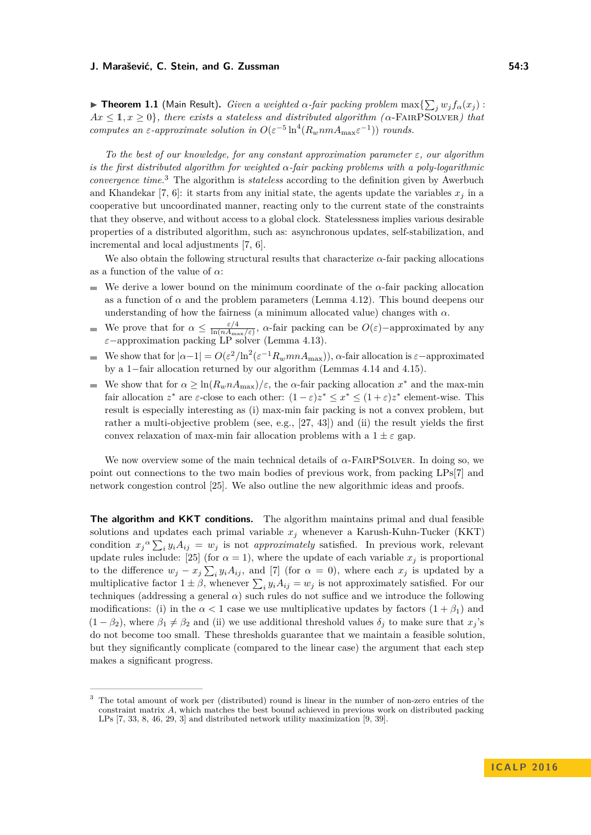**Fheorem 1.1** (Main Result). *Given a weighted*  $\alpha$ -fair packing problem  $\max\{\sum_j w_j f_\alpha(x_j):$  $Ax \leq 1, x \geq 0$ , there exists a stateless and distributed algorithm ( $\alpha$ -FAIRPSOLVER) that *computes an*  $\varepsilon$ -*approximate solution in*  $O(\varepsilon^{-5} \ln^4(R_w n m A_{\max} \varepsilon^{-1}))$  *rounds.* 

*To the best of our knowledge, for any constant approximation parameter ε, our algorithm is the first distributed algorithm for weighted α-fair packing problems with a poly-logarithmic convergence time.*[3](#page-2-0) The algorithm is *stateless* according to the definition given by Awerbuch and Khandekar [\[7,](#page-12-4) [6\]](#page-12-7): it starts from any initial state, the agents update the variables  $x_j$  in a cooperative but uncoordinated manner, reacting only to the current state of the constraints that they observe, and without access to a global clock. Statelessness implies various desirable properties of a distributed algorithm, such as: asynchronous updates, self-stabilization, and incremental and local adjustments [\[7,](#page-12-4) [6\]](#page-12-7).

We also obtain the following structural results that characterize  $\alpha$ -fair packing allocations as a function of the value of *α*:

- We derive a lower bound on the minimum coordinate of the  $\alpha$ -fair packing allocation ÷ as a function of  $\alpha$  and the problem parameters (Lemma [4.12\)](#page-10-0). This bound deepens our understanding of how the fairness (a minimum allocated value) changes with  $\alpha$ .
- We prove that for  $\alpha \leq \frac{\varepsilon/4}{\ln(n)}$  $\frac{\varepsilon}{\ln(nA_{\max}/\varepsilon)}$ , *α*-fair packing can be  $O(\varepsilon)$ -approximated by any *ε*−approximation packing LP solver (Lemma [4.13\)](#page-10-1).
- We show that for  $|a-1| = O(\varepsilon^2/\ln^2(\varepsilon^{-1}R_w mnA_{\text{max}}))$ ,  $\alpha$ -fair allocation is  $\varepsilon$ -approximated  $\overline{\phantom{a}}$ by a 1−fair allocation returned by our algorithm (Lemmas [4.14](#page-11-0) and [4.15\)](#page-11-1).
- We show that for  $\alpha \geq \ln(R_w n A_{\text{max}})/\varepsilon$ , the  $\alpha$ -fair packing allocation  $x^*$  and the max-min fair allocation  $z^*$  are  $\varepsilon$ -close to each other:  $(1 - \varepsilon)z^* \leq x^* \leq (1 + \varepsilon)z^*$  element-wise. This result is especially interesting as (i) max-min fair packing is not a convex problem, but rather a multi-objective problem (see, e.g., [\[27,](#page-13-13) [43\]](#page-13-14)) and (ii) the result yields the first convex relaxation of max-min fair allocation problems with a  $1 \pm \varepsilon$  gap.

We now overview some of the main technical details of *α*-FairPSolver. In doing so, we point out connections to the two main bodies of previous work, from packing LPs[\[7\]](#page-12-4) and network congestion control [\[25\]](#page-13-11). We also outline the new algorithmic ideas and proofs.

**The algorithm and KKT conditions.** The algorithm maintains primal and dual feasible solutions and updates each primal variable  $x_j$  whenever a Karush-Kuhn-Tucker (KKT) condition  $x_j^{\alpha} \sum_i y_i A_{ij} = w_j$  is not *approximately* satisfied. In previous work, relevant update rules include: [\[25\]](#page-13-11) (for  $\alpha = 1$ ), where the update of each variable  $x_j$  is proportional to the difference  $w_j - x_j \sum_i y_i A_{ij}$ , and [\[7\]](#page-12-4) (for  $\alpha = 0$ ), where each  $x_j$  is updated by a multiplicative factor  $1 \pm \beta$ , whenever  $\sum_i y_i A_{ij} = w_j$  is not approximately satisfied. For our techniques (addressing a general  $\alpha$ ) such rules do not suffice and we introduce the following modifications: (i) in the  $\alpha < 1$  case we use multiplicative updates by factors  $(1 + \beta_1)$  and  $(1 - \beta_2)$ , where  $\beta_1 \neq \beta_2$  and (ii) we use additional threshold values  $\delta_j$  to make sure that  $x_j$ 's do not become too small. These thresholds guarantee that we maintain a feasible solution, but they significantly complicate (compared to the linear case) the argument that each step makes a significant progress.

<span id="page-2-0"></span><sup>3</sup> The total amount of work per (distributed) round is linear in the number of non-zero entries of the constraint matrix *A*, which matches the best bound achieved in previous work on distributed packing LPs [\[7,](#page-12-4) [33,](#page-13-8) [8,](#page-12-6) [46,](#page-14-2) [29,](#page-13-7) [3\]](#page-12-5) and distributed network utility maximization [\[9,](#page-12-8) [39\]](#page-13-15).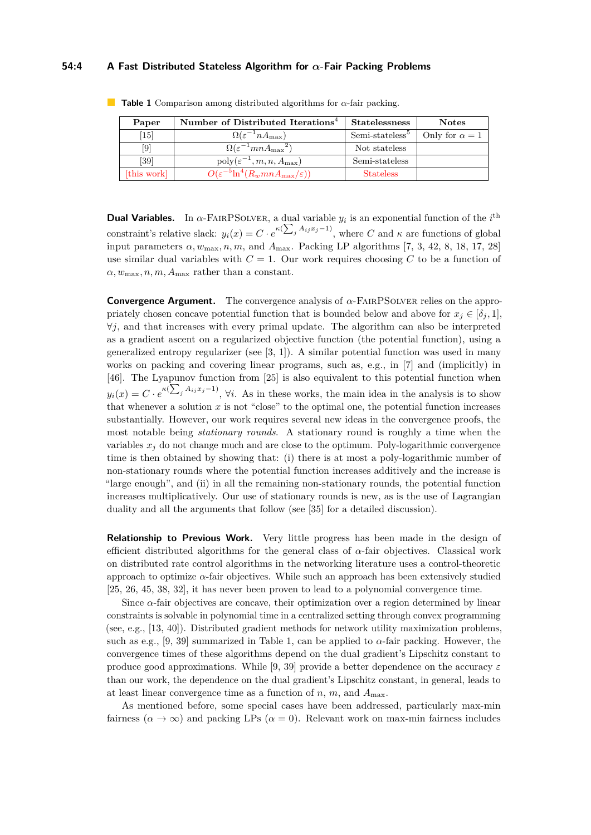## **54:4 A Fast Distributed Stateless Algorithm for** *α***-Fair Packing Problems**

| Paper                        | Number of Distributed Iterations <sup>4</sup>            | <b>Statelessness</b>        | <b>Notes</b>          |
|------------------------------|----------------------------------------------------------|-----------------------------|-----------------------|
| $\left[15\right]$            | $\Omega(\varepsilon^{-1}nA_{\max})$                      | Semi-stateless <sup>5</sup> | Only for $\alpha = 1$ |
| $\left\lceil 9 \right\rceil$ | $\Omega(\varepsilon^{-1}mnA_{\max}^2)$                   | Not stateless               |                       |
| [39]                         | $poly(\varepsilon^{-1}, m, n, A_{\max})$                 | Semi-stateless              |                       |
| [this work]                  | $O(\varepsilon^{-5} \ln^4(R_w mn A_{\max}/\varepsilon))$ | <b>Stateless</b>            |                       |

<span id="page-3-0"></span>**Table 1** Comparison among distributed algorithms for *α*-fair packing.

**Dual Variables.** In  $\alpha$ -FAIRPSOLVER, a dual variable  $y_i$  is an exponential function of the  $i^{\text{th}}$ constraint's relative slack:  $y_i(x) = C \cdot e^{\kappa (\sum_j A_{ij} x_j - 1)}$ , where *C* and  $\kappa$  are functions of global input parameters  $\alpha$ ,  $w_{\text{max}}$ ,  $n$ ,  $m$ , and  $A_{\text{max}}$ . Packing LP algorithms [\[7,](#page-12-4) [3,](#page-12-5) [42,](#page-13-16) [8,](#page-12-6) [18,](#page-12-10) [17,](#page-12-11) [28\]](#page-13-17) use similar dual variables with  $C = 1$ . Our work requires choosing  $C$  to be a function of  $\alpha, w_{\text{max}}$ , *n*, *m*,  $A_{\text{max}}$  rather than a constant.

**Convergence Argument.** The convergence analysis of *α*-FairPSolver relies on the appropriately chosen concave potential function that is bounded below and above for  $x_j \in [\delta_j, 1]$ , ∀*j*, and that increases with every primal update. The algorithm can also be interpreted as a gradient ascent on a regularized objective function (the potential function), using a generalized entropy regularizer (see [\[3,](#page-12-5) [1\]](#page-12-12)). A similar potential function was used in many works on packing and covering linear programs, such as, e.g., in [\[7\]](#page-12-4) and (implicitly) in [\[46\]](#page-14-2). The Lyapunov function from [\[25\]](#page-13-11) is also equivalent to this potential function when  $y_i(x) = C \cdot e^{\kappa (\sum_j A_{ij} x_j - 1)}$ ,  $\forall i$ . As in these works, the main idea in the analysis is to show that whenever a solution  $x$  is not "close" to the optimal one, the potential function increases substantially. However, our work requires several new ideas in the convergence proofs, the most notable being *stationary rounds*. A stationary round is roughly a time when the variables  $x_j$  do not change much and are close to the optimum. Poly-logarithmic convergence time is then obtained by showing that: (i) there is at most a poly-logarithmic number of non-stationary rounds where the potential function increases additively and the increase is "large enough", and (ii) in all the remaining non-stationary rounds, the potential function increases multiplicatively. Our use of stationary rounds is new, as is the use of Lagrangian duality and all the arguments that follow (see [\[35\]](#page-13-12) for a detailed discussion).

**Relationship to Previous Work.** Very little progress has been made in the design of efficient distributed algorithms for the general class of *α*-fair objectives. Classical work on distributed rate control algorithms in the networking literature uses a control-theoretic approach to optimize  $\alpha$ -fair objectives. While such an approach has been extensively studied [\[25,](#page-13-11) [26,](#page-13-10) [45,](#page-14-0) [38,](#page-13-5) [32\]](#page-13-0), it has never been proven to lead to a polynomial convergence time.

Since *α*-fair objectives are concave, their optimization over a region determined by linear constraints is solvable in polynomial time in a centralized setting through convex programming (see, e.g., [\[13,](#page-12-13) [40\]](#page-13-18)). Distributed gradient methods for network utility maximization problems, such as e.g., [\[9,](#page-12-8) [39\]](#page-13-15) summarized in Table [1,](#page-3-0) can be applied to  $\alpha$ -fair packing. However, the convergence times of these algorithms depend on the dual gradient's Lipschitz constant to produce good approximations. While [\[9,](#page-12-8) [39\]](#page-13-15) provide a better dependence on the accuracy *ε* than our work, the dependence on the dual gradient's Lipschitz constant, in general, leads to at least linear convergence time as a function of  $n$ ,  $m$ , and  $A_{\text{max}}$ .

As mentioned before, some special cases have been addressed, particularly max-min fairness  $(\alpha \to \infty)$  and packing LPs  $(\alpha = 0)$ . Relevant work on max-min fairness includes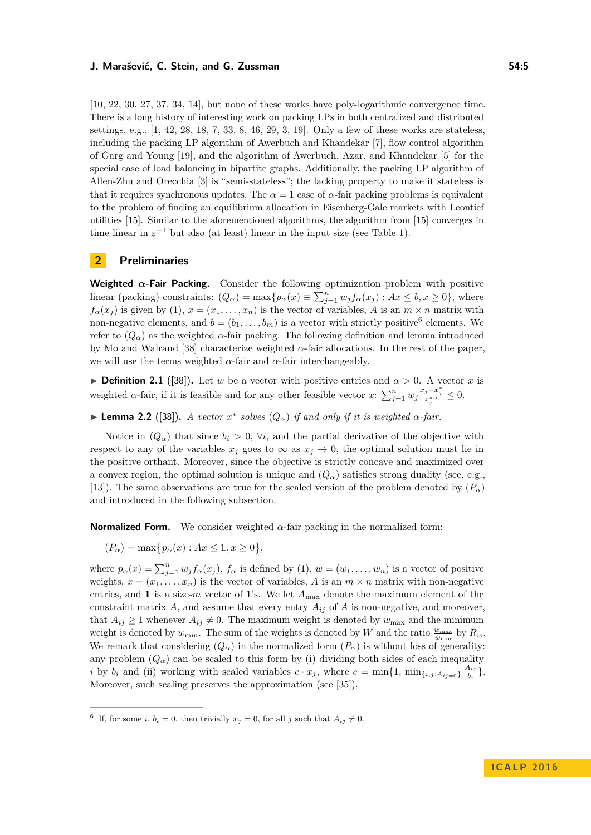[\[10,](#page-12-14) [22,](#page-13-19) [30,](#page-13-20) [27,](#page-13-13) [37,](#page-13-21) [34,](#page-13-22) [14\]](#page-12-15), but none of these works have poly-logarithmic convergence time. There is a long history of interesting work on packing LPs in both centralized and distributed settings, e.g., [\[1,](#page-12-12) [42,](#page-13-16) [28,](#page-13-17) [18,](#page-12-10) [7,](#page-12-4) [33,](#page-13-8) [8,](#page-12-6) [46,](#page-14-2) [29,](#page-13-7) [3,](#page-12-5) [19\]](#page-12-16). Only a few of these works are stateless, including the packing LP algorithm of Awerbuch and Khandekar [\[7\]](#page-12-4), flow control algorithm of Garg and Young [\[19\]](#page-12-16), and the algorithm of Awerbuch, Azar, and Khandekar [\[5\]](#page-12-17) for the special case of load balancing in bipartite graphs. Additionally, the packing LP algorithm of Allen-Zhu and Orecchia [\[3\]](#page-12-5) is "semi-stateless"; the lacking property to make it stateless is that it requires synchronous updates. The  $\alpha = 1$  case of  $\alpha$ -fair packing problems is equivalent to the problem of finding an equilibrium allocation in Eisenberg-Gale markets with Leontief utilities [\[15\]](#page-12-9). Similar to the aforementioned algorithms, the algorithm from [\[15\]](#page-12-9) converges in time linear in  $\varepsilon^{-1}$  but also (at least) linear in the input size (see Table 1).

## <span id="page-4-1"></span>**2 Preliminaries**

**Weighted**  $\alpha$ -Fair Packing. Consider the following optimization problem with positive linear (packing) constraints:  $(Q_{\alpha}) = \max\{p_{\alpha}(x) \equiv \sum_{j=1}^{n} w_j f_{\alpha}(x_j) : Ax \leq b, x \geq 0\}$ , where  $f_{\alpha}(x_i)$  is given by [\(1\)](#page-1-2),  $x = (x_1, \ldots, x_n)$  is the vector of variables, *A* is an  $m \times n$  matrix with non-negative elements, and  $b = (b_1, \ldots, b_m)$  is a vector with strictly positive<sup>[6](#page-4-0)</sup> elements. We refer to  $(Q_{\alpha})$  as the weighted  $\alpha$ -fair packing. The following definition and lemma introduced by Mo and Walrand [\[38\]](#page-13-5) characterize weighted *α*-fair allocations. In the rest of the paper, we will use the terms weighted  $\alpha$ -fair and  $\alpha$ -fair interchangeably.

**Definition 2.1** ([\[38\]](#page-13-5)). Let *w* be a vector with positive entries and  $\alpha > 0$ . A vector *x* is weighted *α*-fair, if it is feasible and for any other feasible vector *x*:  $\sum_{j=1}^{n} w_j \frac{x_j - x_j^*}{x_j^{*\alpha}} \leq 0$ .

**► Lemma 2.2** ([\[38\]](#page-13-5)). *A vector*  $x^*$  *solves*  $(Q_α)$  *if and only if it is weighted*  $α$ -*fair.* 

Notice in  $(Q_\alpha)$  that since  $b_i > 0$ ,  $\forall i$ , and the partial derivative of the objective with respect to any of the variables  $x_j$  goes to  $\infty$  as  $x_j \to 0$ , the optimal solution must lie in the positive orthant. Moreover, since the objective is strictly concave and maximized over a convex region, the optimal solution is unique and  $(Q_{\alpha})$  satisfies strong duality (see, e.g., [\[13\]](#page-12-13)). The same observations are true for the scaled version of the problem denoted by  $(P_{\alpha})$ and introduced in the following subsection.

**Normalized Form.** We consider weighted  $\alpha$ -fair packing in the normalized form:

 $(P_{\alpha}) = \max\{p_{\alpha}(x) : Ax \leq 1, x \geq 0\},\$ 

where  $p_{\alpha}(x) = \sum_{j=1}^{n} w_j f_{\alpha}(x_j)$ ,  $f_{\alpha}$  is defined by [\(1\)](#page-1-2),  $w = (w_1, \ldots, w_n)$  is a vector of positive weights,  $x = (x_1, \ldots, x_n)$  is the vector of variables, A is an  $m \times n$  matrix with non-negative entries, and 1 is a size- $m$  vector of 1's. We let  $A_{\text{max}}$  denote the maximum element of the constraint matrix  $A$ , and assume that every entry  $A_{ij}$  of  $A$  is non-negative, and moreover, that  $A_{ij} \geq 1$  whenever  $A_{ij} \neq 0$ . The maximum weight is denoted by  $w_{\text{max}}$  and the minimum weight is denoted by  $w_{\min}$ . The sum of the weights is denoted by *W* and the ratio  $\frac{w_{\max}}{w_{\min}}$  by  $R_w$ . We remark that considering  $(Q_\alpha)$  in the normalized form  $(P_\alpha)$  is without loss of generality: any problem  $(Q_\alpha)$  can be scaled to this form by (i) dividing both sides of each inequality *i* by  $b_i$  and (ii) working with scaled variables  $c \cdot x_j$ , where  $c = \min\{1, \min_{\{i,j : A_{ij} \neq 0\}} \frac{A_{ij}}{b_i}\}$  $\frac{A_{ij}}{b_i}\}$  . Moreover, such scaling preserves the approximation (see [\[35\]](#page-13-12)).

<span id="page-4-0"></span><sup>&</sup>lt;sup>6</sup> If, for some *i*,  $b_i = 0$ , then trivially  $x_j = 0$ , for all *j* such that  $A_{ij} \neq 0$ .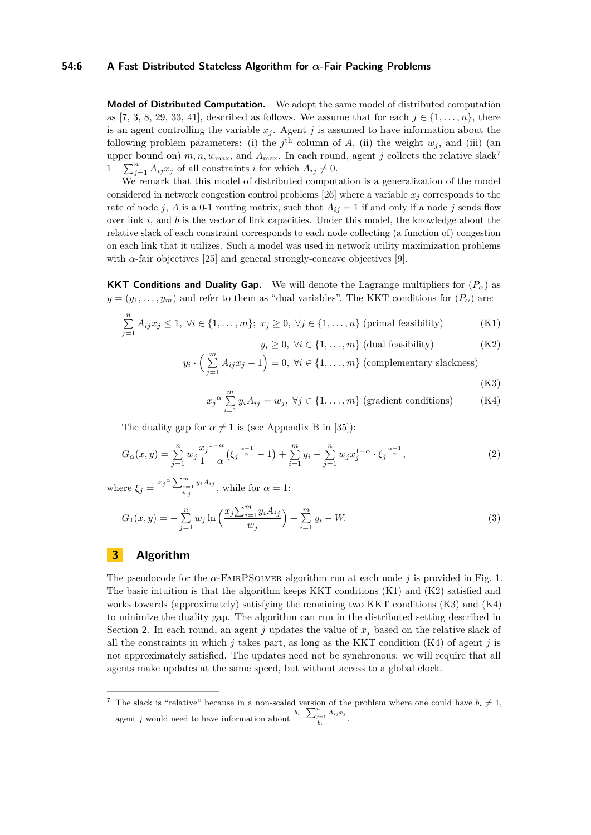## **54:6 A Fast Distributed Stateless Algorithm for** *α***-Fair Packing Problems**

**Model of Distributed Computation.** We adopt the same model of distributed computation as [\[7,](#page-12-4) [3,](#page-12-5) [8,](#page-12-6) [29,](#page-13-7) [33,](#page-13-8) [41\]](#page-13-9), described as follows. We assume that for each  $j \in \{1, \ldots, n\}$ , there is an agent controlling the variable  $x_j$ . Agent  $j$  is assumed to have information about the following problem parameters: (i) the  $j^{\text{th}}$  column of *A*, (ii) the weight  $w_j$ , and (iii) (an upper bound on)  $m, n, w_{\text{max}}$ , and  $A_{\text{max}}$ . In each round, agent *j* collects the relative slack<sup>[7](#page-5-0)</sup>  $1 - \sum_{j=1}^{n} A_{ij} x_j$  of all constraints *i* for which  $A_{ij} \neq 0$ .

We remark that this model of distributed computation is a generalization of the model considered in network congestion control problems [\[26\]](#page-13-10) where a variable  $x_j$  corresponds to the rate of node *j*, *A* is a 0-1 routing matrix, such that  $A_{ij} = 1$  if and only if a node *j* sends flow over link *i*, and *b* is the vector of link capacities. Under this model, the knowledge about the relative slack of each constraint corresponds to each node collecting (a function of) congestion on each link that it utilizes. Such a model was used in network utility maximization problems with  $\alpha$ -fair objectives [\[25\]](#page-13-11) and general strongly-concave objectives [\[9\]](#page-12-8).

**KKT Conditions and Duality Gap.** We will denote the Lagrange multipliers for  $(P_\alpha)$  as  $y = (y_1, \ldots, y_m)$  and refer to them as "dual variables". The KKT conditions for  $(P_\alpha)$  are:

$$
\sum_{j=1}^{n} A_{ij} x_j \le 1, \ \forall i \in \{1, \dots, m\}; \ x_j \ge 0, \ \forall j \in \{1, \dots, n\} \text{ (primal feasibility)}
$$
 (K1)

<span id="page-5-4"></span><span id="page-5-3"></span><span id="page-5-2"></span><span id="page-5-1"></span>
$$
y_i \ge 0, \ \forall i \in \{1, \dots, m\} \ (\text{dual feasibility}) \tag{K2}
$$

$$
y_i \cdot \left(\sum_{j=1}^m A_{ij} x_j - 1\right) = 0, \ \forall i \in \{1, \dots, m\} \ (\text{complementary slackness})
$$
\n(K3)

$$
x_j^{\alpha} \sum_{i=1}^{m} y_i A_{ij} = w_j, \ \forall j \in \{1, ..., m\} \ (\text{gradient conditions}) \tag{K4}
$$

The duality gap for  $\alpha \neq 1$  is (see Appendix B in [\[35\]](#page-13-12)):

$$
G_{\alpha}(x,y) = \sum_{j=1}^{n} w_j \frac{x_j^{1-\alpha}}{1-\alpha} \left(\xi_j^{\frac{\alpha-1}{\alpha}} - 1\right) + \sum_{i=1}^{m} y_i - \sum_{j=1}^{n} w_j x_j^{1-\alpha} \cdot \xi_j^{\frac{\alpha-1}{\alpha}},\tag{2}
$$

where  $\xi_j = \frac{x_j^{\alpha} \sum_{i=1}^m y_i A_{ij}}{w_i}$  $w_j^{i=1}$ <sup>*yi*</sup><sup>11</sup>*y*</sub>, while for  $\alpha = 1$ :

$$
G_1(x,y) = -\sum_{j=1}^{n} w_j \ln\left(\frac{x_j \sum_{i=1}^{m} y_i A_{ij}}{w_j}\right) + \sum_{i=1}^{m} y_i - W.
$$
 (3)

## <span id="page-5-5"></span>**3 Algorithm**

The pseudocode for the  $\alpha$ -FAIRPSOLVER algorithm run at each node *j* is provided in Fig. [1.](#page-6-0) The basic intuition is that the algorithm keeps KKT conditions [\(K1\)](#page-5-1) and [\(K2\)](#page-5-2) satisfied and works towards (approximately) satisfying the remaining two KKT conditions  $(K3)$  and  $(K4)$ to minimize the duality gap. The algorithm can run in the distributed setting described in Section [2.](#page-4-1) In each round, an agent *j* updates the value of  $x_j$  based on the relative slack of all the constraints in which  $j$  takes part, as long as the KKT condition [\(K4\)](#page-5-4) of agent  $j$  is not approximately satisfied. The updates need not be synchronous: we will require that all agents make updates at the same speed, but without access to a global clock.

<span id="page-5-0"></span><sup>&</sup>lt;sup>7</sup> The slack is "relative" because in a non-scaled version of the problem where one could have  $b_i \neq 1$ , agent *j* would need to have information about  $\frac{b_i - \sum_{j=1}^n A_{ij}x_j}{b_i}$  $\frac{j=1}{b_i}$ .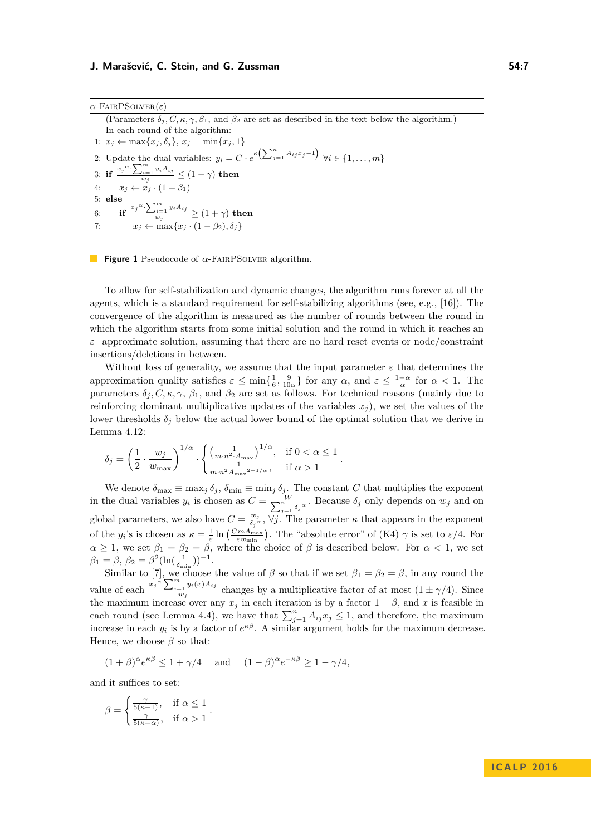<span id="page-6-0"></span>(Parameters  $\delta_i$ , C,  $\kappa$ ,  $\gamma$ ,  $\beta_1$ , and  $\beta_2$  are set as described in the text below the algorithm.) In each round of the algorithm: 1:  $x_j$  ← max $\{x_j, \delta_j\}, x_j = \min\{x_j, 1\}$ 2: Update the dual variables:  $y_i = C \cdot e^{\kappa \left(\sum_{j=1}^n A_{ij} x_j - 1\right)} \ \forall i \in \{1, \ldots, m\}$ 3: **if**  $\frac{x_j^{\alpha} \cdot \sum_{i=1}^{m} y_i A_{ij}}{w}$  $\frac{\gamma_{i=1} s_i - \gamma_j}{w_j} \leq (1-\gamma)$  then 4:  $x_j \leftarrow x_j \cdot (1 + \beta_1)$ 5: **else** 6: **if**  $\frac{x_j^{\alpha} \cdot \sum_{i=1}^{m} y_i A_{ij}}{w_i}$  $\frac{\gamma_{i}=1}{w_{j}}^{s_{i}-1} \geq (1+\gamma)$  then 7:  $x_j \leftarrow \max\{x_j \cdot (1 - \beta_2), \delta_j\}$ 

## **Figure 1** Pseudocode of *α*-FairPSolver algorithm.

To allow for self-stabilization and dynamic changes, the algorithm runs forever at all the agents, which is a standard requirement for self-stabilizing algorithms (see, e.g., [\[16\]](#page-12-18)). The convergence of the algorithm is measured as the number of rounds between the round in which the algorithm starts from some initial solution and the round in which it reaches an *ε*−approximate solution, assuming that there are no hard reset events or node/constraint insertions/deletions in between.

Without loss of generality, we assume that the input parameter  $\varepsilon$  that determines the approximation quality satisfies  $\varepsilon \le \min\{\frac{1}{6}, \frac{9}{10\alpha}\}\$  for any  $\alpha$ , and  $\varepsilon \le \frac{1-\alpha}{\alpha}$  for  $\alpha < 1$ . The parameters  $\delta_i$ , C,  $\kappa$ ,  $\gamma$ ,  $\beta_1$ , and  $\beta_2$  are set as follows. For technical reasons (mainly due to reinforcing dominant multiplicative updates of the variables  $x_j$ , we set the values of the lower thresholds  $\delta_j$  below the actual lower bound of the optimal solution that we derive in Lemma [4.12:](#page-10-0)

$$
\delta_j = \left(\frac{1}{2} \cdot \frac{w_j}{w_{\text{max}}}\right)^{1/\alpha} \cdot \begin{cases} \left(\frac{1}{m \cdot n^{2} \cdot A_{\text{max}}}\right)^{1/\alpha}, & \text{if } 0 < \alpha \le 1\\ \frac{1}{m \cdot n^2 A_{\text{max}}^{2-1/\alpha}}, & \text{if } \alpha > 1 \end{cases}.
$$

We denote  $\delta_{\max} \equiv \max_j \delta_j$ ,  $\delta_{\min} \equiv \min_j \delta_j$ . The constant *C* that multiplies the exponent in the dual variables  $y_i$  is chosen as  $C = \frac{W}{\sum_{i=1}^{n} W_i}$  $\frac{W}{n}$ <sub>*j*=1</sub></sub> $\delta_j$ <sup>*a*</sup>. Because  $\delta_j$  only depends on  $w_j$  and on global parameters, we also have  $C = \frac{w_j}{\delta \sigma^2}$  $\frac{w_j}{\delta_j^{\alpha}}$ ,  $\forall j$ . The parameter *κ* that appears in the exponent of the *y<sub>i</sub>*'s is chosen as  $\kappa = \frac{1}{\varepsilon} \ln \left( \frac{C_m A_{\text{max}}}{\varepsilon w_{\text{min}}} \right)$ . The "absolute error" of [\(K4\)](#page-5-4)  $\gamma$  is set to  $\varepsilon/4$ . For  $\alpha \geq 1$ , we set  $\beta_1 = \beta_2 = \beta$ , where the choice of  $\beta$  is described below. For  $\alpha < 1$ , we set  $\beta_1 = \beta$ ,  $\beta_2 = \beta^2 (\ln(\frac{1}{\delta_{\min}}))^{-1}$ .

Similar to [\[7\]](#page-12-4), we choose the value of  $\beta$  so that if we set  $\beta_1 = \beta_2 = \beta$ , in any round the value of each  $\frac{x_j \alpha}{2} \sum_{i=1}^m y_i(x) A_{ij}$  $\frac{y_1}{w_j}$  changes by a multiplicative factor of at most  $(1 \pm \gamma/4)$ . Since the maximum increase over any  $x_j$  in each iteration is by a factor  $1 + \beta$ , and x is feasible in each round (see Lemma [4.4\)](#page-8-1), we have that  $\sum_{j=1}^{n} A_{ij}x_j \leq 1$ , and therefore, the maximum increase in each  $y_i$  is by a factor of  $e^{\kappa\beta}$ . A similar argument holds for the maximum decrease. Hence, we choose  $\beta$  so that:

$$
(1+\beta)^{\alpha}e^{\kappa\beta} \le 1+\gamma/4
$$
 and  $(1-\beta)^{\alpha}e^{-\kappa\beta} \ge 1-\gamma/4$ ,

and it suffices to set:

$$
\beta = \begin{cases} \frac{\gamma}{5(\kappa+1)}, & \text{if } \alpha \le 1\\ \frac{\gamma}{5(\kappa+\alpha)}, & \text{if } \alpha > 1 \end{cases}.
$$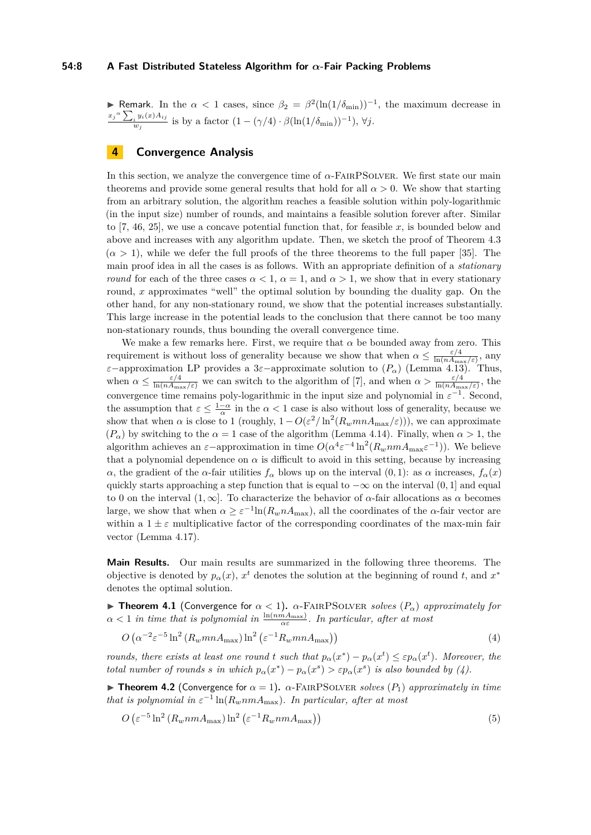## **54:8 A Fast Distributed Stateless Algorithm for** *α***-Fair Packing Problems**

**► Remark**. In the *α* < 1 cases, since  $\beta_2 = \beta^2(\ln(1/\delta_{min}))^{-1}$ , the maximum decrease in  $x_j$ <sup> $\alpha$ </sup> $\sum_i y_i(x) A_{ij}$  $w_j^i$ <sup>*y*<sub>*i*</sub>(*x*) *A*<sub>ij</sub> is by a factor  $(1 - (\gamma/4) \cdot \beta(\ln(1/\delta_{\min}))^{-1}), \forall j$ .</sup>

## **4 Convergence Analysis**

In this section, we analyze the convergence time of *α*-FairPSolver. We first state our main theorems and provide some general results that hold for all  $\alpha > 0$ . We show that starting from an arbitrary solution, the algorithm reaches a feasible solution within poly-logarithmic (in the input size) number of rounds, and maintains a feasible solution forever after. Similar to [\[7,](#page-12-4) [46,](#page-14-2) [25\]](#page-13-11), we use a concave potential function that, for feasible *x*, is bounded below and above and increases with any algorithm update. Then, we sketch the proof of Theorem [4.3](#page-8-0)  $(\alpha > 1)$ , while we defer the full proofs of the three theorems to the full paper [\[35\]](#page-13-12). The main proof idea in all the cases is as follows. With an appropriate definition of a *stationary round* for each of the three cases  $\alpha < 1$ ,  $\alpha = 1$ , and  $\alpha > 1$ , we show that in every stationary round, *x* approximates "well" the optimal solution by bounding the duality gap. On the other hand, for any non-stationary round, we show that the potential increases substantially. This large increase in the potential leads to the conclusion that there cannot be too many non-stationary rounds, thus bounding the overall convergence time.

We make a few remarks here. First, we require that  $\alpha$  be bounded away from zero. This requirement is without loss of generality because we show that when  $\alpha \leq \frac{\varepsilon/4}{\ln(n)A}$  $\frac{\varepsilon/4}{\ln(nA_{\max}/\varepsilon)}$ , any *ε*−approximation LP provides a 3*ε*−approximate solution to (*Pα*) (Lemma [4.13\)](#page-10-1). Thus, when  $\alpha \leq \frac{\varepsilon/4}{\ln(nA_{\max}/\varepsilon)}$  we can switch to the algorithm of [\[7\]](#page-12-4), and when  $\alpha > \frac{\varepsilon/4}{\ln(nA_{\max}/\varepsilon)}$ , the convergence time remains poly-logarithmic in the input size and polynomial in  $\varepsilon^{-1}$ . Second, the assumption that  $\varepsilon \leq \frac{1-\alpha}{\alpha}$  in the  $\alpha < 1$  case is also without loss of generality, because we show that when  $\alpha$  is close to 1 (roughly,  $1 - O(\varepsilon^2/\ln^2(R_w mnA_{\max}/\varepsilon))$ ), we can approximate  $(P_{\alpha})$  by switching to the  $\alpha = 1$  case of the algorithm (Lemma [4.14\)](#page-11-0). Finally, when  $\alpha > 1$ , the algorithm achieves an  $\varepsilon$ -approximation in time  $O(\alpha^4 \varepsilon^{-4} \ln^2(R_w n m A_{\text{max}} \varepsilon^{-1}))$ . We believe that a polynomial dependence on  $\alpha$  is difficult to avoid in this setting, because by increasing *α*, the gradient of the *α*-fair utilities  $f_\alpha$  blows up on the interval (0, 1): as *α* increases,  $f_\alpha(x)$ quickly starts approaching a step function that is equal to  $-\infty$  on the interval (0, 1] and equal to 0 on the interval (1*,* ∞]. To characterize the behavior of *α*-fair allocations as *α* becomes large, we show that when  $\alpha \geq \varepsilon^{-1} \ln(R_w n A_{\text{max}})$ , all the coordinates of the  $\alpha$ -fair vector are within a  $1 \pm \varepsilon$  multiplicative factor of the corresponding coordinates of the max-min fair vector (Lemma [4.17\)](#page-11-2).

**Main Results.** Our main results are summarized in the following three theorems. The objective is denoted by  $p_{\alpha}(x)$ ,  $x^{t}$  denotes the solution at the beginning of round *t*, and  $x^{*}$ denotes the optimal solution.

<span id="page-7-0"></span>**Theorem 4.1** (Convergence for  $\alpha < 1$ ).  $\alpha$ -FAIRPSOLVER *solves*  $(P_{\alpha})$  *approximately for*  $\alpha < 1$  *in time that is polynomial in*  $\frac{\ln(nmA_{\max})}{\alpha \varepsilon}$ *. In particular, after at most* 

<span id="page-7-1"></span>
$$
O\left(\alpha^{-2}\varepsilon^{-5}\ln^2\left(R_w mn A_{\text{max}}\right)\ln^2\left(\varepsilon^{-1}R_w mn A_{\text{max}}\right)\right) \tag{4}
$$

*rounds, there exists at least one round t such that*  $p_{\alpha}(x^*) - p_{\alpha}(x^t) \leq \varepsilon p_{\alpha}(x^t)$ *. Moreover, the total number of rounds s in which*  $p_{\alpha}(x^*) - p_{\alpha}(x^*) > \varepsilon p_{\alpha}(x^*)$  *is also bounded by* [\(4\)](#page-7-1)*.* 

<span id="page-7-3"></span>**Theorem 4.2** (Convergence for  $\alpha = 1$ ).  $\alpha$ -FAIRPSOLVER *solves* ( $P_1$ ) *approximately in time that is polynomial in*  $\varepsilon^{-1}$   $\ln(R_w n m A_{\text{max}})$ *. In particular, after at most* 

<span id="page-7-2"></span>
$$
O\left(\varepsilon^{-5}\ln^2\left(R_wnmA_{\max}\right)\ln^2\left(\varepsilon^{-1}R_wnmA_{\max}\right)\right) \tag{5}
$$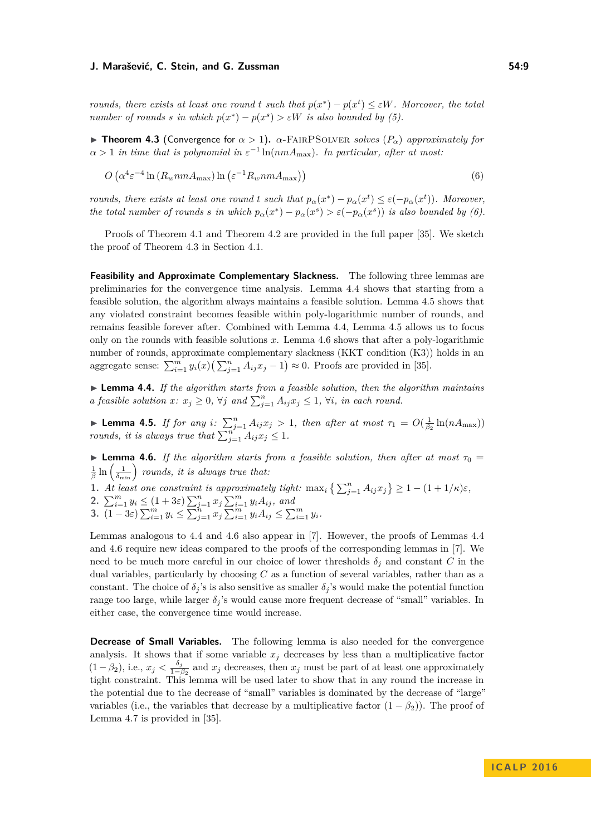*rounds, there exists at least one round t such that*  $p(x^*) - p(x^t) \leq \varepsilon W$ . Moreover, the total *number of rounds s in which*  $p(x^*) - p(x^s) > \varepsilon W$  *is also bounded by* [\(5\)](#page-7-2)*.* 

<span id="page-8-0"></span>**Theorem 4.3** (Convergence for  $\alpha > 1$ ).  $\alpha$ -FAIRPSOLVER *solves* ( $P_{\alpha}$ ) *approximately for*  $\alpha > 1$  *in time that is polynomial in*  $\varepsilon^{-1}$  ln( $nmA_{\text{max}}$ ). In particular, after at most:

<span id="page-8-2"></span>
$$
O\left(\alpha^4 \varepsilon^{-4} \ln \left(R_w n m A_{\text{max}}\right) \ln \left(\varepsilon^{-1} R_w n m A_{\text{max}}\right)\right) \tag{6}
$$

*rounds, there exists at least one round t such that*  $p_{\alpha}(x^*) - p_{\alpha}(x^t) \leq \varepsilon(-p_{\alpha}(x^t))$ *. Moreover, the total number of rounds s in which*  $p_{\alpha}(x^*) - p_{\alpha}(x^*) > \varepsilon(-p_{\alpha}(x^*))$  *is also bounded by* [\(6\)](#page-8-2)*.* 

Proofs of Theorem [4.1](#page-7-0) and Theorem [4.2](#page-7-3) are provided in the full paper [\[35\]](#page-13-12). We sketch the proof of Theorem [4.3](#page-8-0) in Section [4.1.](#page-9-0)

**Feasibility and Approximate Complementary Slackness.** The following three lemmas are preliminaries for the convergence time analysis. Lemma [4.4](#page-8-1) shows that starting from a feasible solution, the algorithm always maintains a feasible solution. Lemma [4.5](#page-8-3) shows that any violated constraint becomes feasible within poly-logarithmic number of rounds, and remains feasible forever after. Combined with Lemma [4.4,](#page-8-1) Lemma [4.5](#page-8-3) allows us to focus only on the rounds with feasible solutions *x*. Lemma [4.6](#page-8-4) shows that after a poly-logarithmic number of rounds, approximate complementary slackness (KKT condition [\(K3\)](#page-5-3)) holds in an aggregate sense:  $\sum_{i=1}^{m} y_i(x) \left( \sum_{j=1}^{n} A_{ij} x_j - 1 \right) \approx 0$ . Proofs are provided in [\[35\]](#page-13-12).

<span id="page-8-1"></span>I **Lemma 4.4.** *If the algorithm starts from a feasible solution, then the algorithm maintains a feasible solution*  $x: x_j \geq 0$ ,  $\forall j$  *and*  $\sum_{j=1}^n A_{ij} x_j \leq 1$ ,  $\forall i$ , *in each round.* 

<span id="page-8-3"></span>**Lemma 4.5.** *If for any i*:  $\sum_{j=1}^{n} A_{ij}x_j > 1$ , then after at most  $\tau_1 = O(\frac{1}{\beta_2}\ln(nA_{\max}))$ *rounds, it is always true that*  $\sum_{j=1}^{n'} A_{ij} x_j \leq 1$ .

<span id="page-8-4"></span>**Lemma 4.6.** *If the algorithm starts from a feasible solution, then after at most*  $\tau_0 =$  $\frac{1}{\beta}$  ln  $\left(\frac{1}{\delta_{\min}}\right)$  rounds, it is always true that:

**1.** At least one constraint is approximately tight:  $\max_i \left\{ \sum_{j=1}^n A_{ij} x_j \right\} \geq 1 - (1 + 1/\kappa)\varepsilon$ ,

**2.**  $\sum_{i=1}^{m} y_i \leq (1+3\varepsilon) \sum_{j=1}^{n} x_j \sum_{i=1}^{m} y_i A_{ij}$ , and

**3.**  $\overline{(1-3\varepsilon)}\sum_{i=1}^m y_i \leq \overline{\sum}_{j=1}^n x_j \overline{\sum}_{i=1}^m y_i A_{ij} \leq \sum_{i=1}^m y_i.$ 

Lemmas analogous to [4.4](#page-8-1) and [4.6](#page-8-4) also appear in [\[7\]](#page-12-4). However, the proofs of Lemmas [4.4](#page-8-1) and [4.6](#page-8-4) require new ideas compared to the proofs of the corresponding lemmas in [\[7\]](#page-12-4). We need to be much more careful in our choice of lower thresholds  $\delta_j$  and constant *C* in the dual variables, particularly by choosing *C* as a function of several variables, rather than as a constant. The choice of  $\delta_j$ 's is also sensitive as smaller  $\delta_j$ 's would make the potential function range too large, while larger  $\delta_i$ 's would cause more frequent decrease of "small" variables. In either case, the convergence time would increase.

**Decrease of Small Variables.** The following lemma is also needed for the convergence analysis. It shows that if some variable  $x_j$  decreases by less than a multiplicative factor  $(1 - \beta_2)$ , i.e.,  $x_j < \frac{\delta_j}{1 - \beta_2}$  $\frac{\sigma_j}{1-\beta_2}$  and  $x_j$  decreases, then  $x_j$  must be part of at least one approximately tight constraint. This lemma will be used later to show that in any round the increase in the potential due to the decrease of "small" variables is dominated by the decrease of "large" variables (i.e., the variables that decrease by a multiplicative factor  $(1 - \beta_2)$ ). The proof of Lemma [4.7](#page-9-1) is provided in [\[35\]](#page-13-12).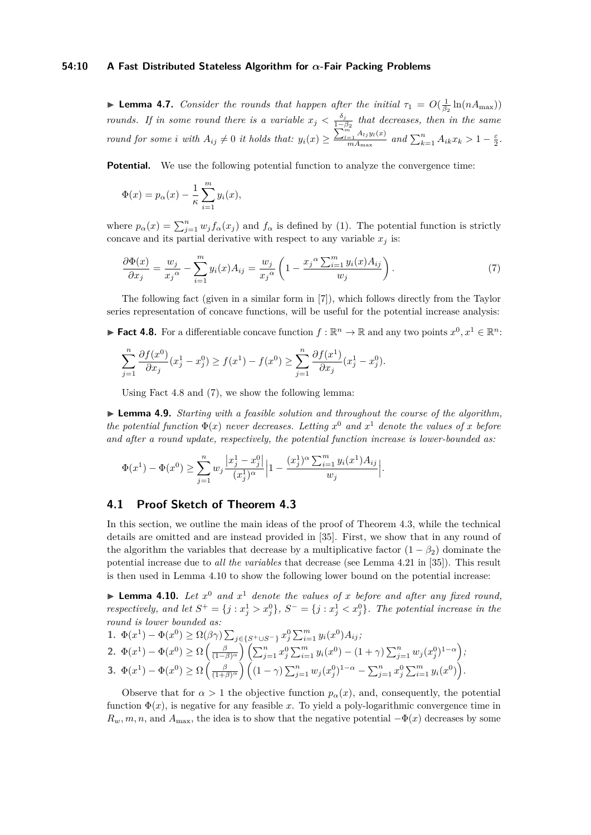## **54:10 A Fast Distributed Stateless Algorithm for** *α***-Fair Packing Problems**

<span id="page-9-1"></span>**Lemma 4.7.** *Consider the rounds that happen after the initial*  $\tau_1 = O(\frac{1}{\beta_2} \ln(nA_{\text{max}}))$ *rounds.* If in some round there is a variable  $x_j < \frac{\delta_j}{1-\delta_j}$ 1−*β*<sup>2</sup> *that decreases, then in the same round for some i with*  $A_{ij} \neq 0$  *it holds that:*  $y_i(x) \geq \frac{\sum_{l=1}^{m} A_{lj} y_l(x)}{m A_{max}}$  $\frac{e^{-\frac{1}{2}A_{lj}y_l(x)}}{mA_{\max}}$  and  $\sum_{k=1}^{n} A_{ik}x_k > 1 - \frac{\varepsilon}{2}$ .

**Potential.** We use the following potential function to analyze the convergence time:

$$
\Phi(x) = p_{\alpha}(x) - \frac{1}{\kappa} \sum_{i=1}^{m} y_i(x),
$$

where  $p_{\alpha}(x) = \sum_{j=1}^{n} w_j f_{\alpha}(x_j)$  and  $f_{\alpha}$  is defined by [\(1\)](#page-1-2). The potential function is strictly concave and its partial derivative with respect to any variable  $x_j$  is:

<span id="page-9-3"></span>
$$
\frac{\partial \Phi(x)}{\partial x_j} = \frac{w_j}{x_j^{\alpha}} - \sum_{i=1}^m y_i(x) A_{ij} = \frac{w_j}{x_j^{\alpha}} \left( 1 - \frac{x_j^{\alpha} \sum_{i=1}^m y_i(x) A_{ij}}{w_j} \right). \tag{7}
$$

The following fact (given in a similar form in [\[7\]](#page-12-4)), which follows directly from the Taylor series representation of concave functions, will be useful for the potential increase analysis:

<span id="page-9-2"></span>► **Fact 4.8.** For a differentiable concave function  $f : \mathbb{R}^n \to \mathbb{R}$  and any two points  $x^0, x^1 \in \mathbb{R}^n$ :

$$
\sum_{j=1}^{n} \frac{\partial f(x^{0})}{\partial x_{j}}(x_{j}^{1}-x_{j}^{0}) \ge f(x^{1})-f(x^{0}) \ge \sum_{j=1}^{n} \frac{\partial f(x^{1})}{\partial x_{j}}(x_{j}^{1}-x_{j}^{0}).
$$

Using Fact [4.8](#page-9-2) and [\(7\)](#page-9-3), we show the following lemma:

I **Lemma 4.9.** *Starting with a feasible solution and throughout the course of the algorithm, the potential function*  $\Phi(x)$  *never decreases. Letting*  $x^0$  *and*  $x^1$  *denote the values of*  $x$  *before and after a round update, respectively, the potential function increase is lower-bounded as:*

$$
\Phi(x^1) - \Phi(x^0) \ge \sum_{j=1}^n w_j \frac{|x_j^1 - x_j^0|}{(x_j^1)^{\alpha}} \Big| 1 - \frac{(x_j^1)^{\alpha} \sum_{i=1}^m y_i(x^1) A_{ij}}{w_j} \Big|.
$$

## <span id="page-9-0"></span>**4.1 Proof Sketch of Theorem [4.3](#page-8-0)**

In this section, we outline the main ideas of the proof of Theorem [4.3,](#page-8-0) while the technical details are omitted and are instead provided in [\[35\]](#page-13-12). First, we show that in any round of the algorithm the variables that decrease by a multiplicative factor  $(1 - \beta_2)$  dominate the potential increase due to *all the variables* that decrease (see Lemma 4.21 in [\[35\]](#page-13-12)). This result is then used in Lemma [4.10](#page-9-4) to show the following lower bound on the potential increase:

<span id="page-9-4"></span>**Lemma 4.10.** Let  $x^0$  and  $x^1$  denote the values of x before and after any fixed round, *respectively, and let*  $S^+ = \{j : x_j^1 > x_j^0\}$ ,  $S^- = \{j : x_j^1 < x_j^0\}$ . The potential increase in the *round is lower bounded as:*

1. 
$$
\Phi(x^1) - \Phi(x^0) \ge \Omega(\beta \gamma) \sum_{j \in \{S^+ \cup S^- \}} x_j^0 \sum_{i=1}^m y_i(x^0) A_{ij};
$$
  
\n2.  $\Phi(x^1) - \Phi(x^0) \ge \Omega\left(\frac{\beta}{(1-\beta)^{\alpha}}\right) \left(\sum_{j=1}^n x_j^0 \sum_{i=1}^m y_i(x^0) - (1+\gamma) \sum_{j=1}^n w_j(x_j^0)^{1-\alpha}\right);$   
\n3.  $\Phi(x^1) - \Phi(x^0) \ge \Omega\left(\frac{\beta}{(1+\beta)^{\alpha}}\right) \left((1-\gamma) \sum_{j=1}^n w_j(x_j^0)^{1-\alpha} - \sum_{j=1}^n x_j^0 \sum_{i=1}^m y_i(x^0)\right).$ 

Observe that for  $\alpha > 1$  the objective function  $p_{\alpha}(x)$ , and, consequently, the potential function  $\Phi(x)$ , is negative for any feasible x. To yield a poly-logarithmic convergence time in  $R_w, m, n$ , and  $A_{\text{max}}$ , the idea is to show that the negative potential  $-\Phi(x)$  decreases by some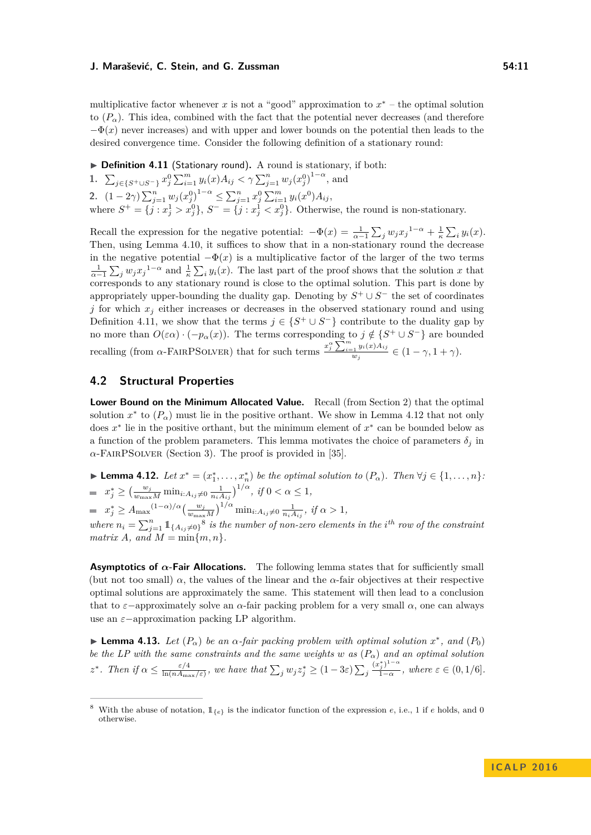multiplicative factor whenever  $x$  is not a "good" approximation to  $x^*$  – the optimal solution to  $(P_{\alpha})$ . This idea, combined with the fact that the potential never decreases (and therefore  $-\Phi(x)$  never increases) and with upper and lower bounds on the potential then leads to the desired convergence time. Consider the following definition of a stationary round:

<span id="page-10-2"></span>▶ **Definition 4.11** (Stationary round). A round is stationary, if both:

**1.**  $\sum_{j \in \{S^+ \cup S^- \}} x_j^0 \sum_{i=1}^m y_i(x) A_{ij} < \gamma \sum_{j=1}^n w_j (x_j^0)^{1-\alpha}$ , and **2.**  $(1-2\gamma)\sum_{j=1}^n w_j(x_j^{0})^{1-\alpha} \le \sum_{j=1}^n x_j^{0} \sum_{i=1}^m y_i(x^0) A_{ij}$ where  $S^+ = \{j : x_j^1 > x_j^0\}$ ,  $S^- = \{j : x_j^1 < x_j^0\}$ . Otherwise, the round is non-stationary.

Recall the expression for the negative potential:  $-\Phi(x) = \frac{1}{\alpha-1} \sum_j w_j x_j^{1-\alpha} + \frac{1}{\kappa} \sum_i y_i(x)$ . Then, using Lemma [4.10,](#page-9-4) it suffices to show that in a non-stationary round the decrease in the negative potential  $-\Phi(x)$  is a multiplicative factor of the larger of the two terms  $\frac{1}{\alpha-1}\sum_j w_j x_j^{1-\alpha}$  and  $\frac{1}{\kappa}\sum_i y_i(x)$ . The last part of the proof shows that the solution *x* that corresponds to any stationary round is close to the optimal solution. This part is done by appropriately upper-bounding the duality gap. Denoting by  $S^+ \cup S^-$  the set of coordinates *j* for which  $x_j$  either increases or decreases in the observed stationary round and using Definition [4.11,](#page-10-2) we show that the terms  $j \in \{S^+ \cup S^- \}$  contribute to the duality gap by no more than  $O(\varepsilon \alpha) \cdot (-p_{\alpha}(x))$ . The terms corresponding to  $j \notin \{S^+ \cup S^-\}$  are bounded recalling (from *α*-FAIRPSOLVER) that for such terms  $\frac{x_j^{\alpha} \sum_{i=1}^{m} y_i(x) A_{ij}}{m}$  $\frac{e^{-1}}{w_j}$   $\frac{y_i(\omega)+y_j}{\omega_j} \in (1-\gamma,1+\gamma).$ 

## **4.2 Structural Properties**

**Lower Bound on the Minimum Allocated Value.** Recall (from Section [2\)](#page-4-1) that the optimal solution  $x^*$  to  $(P_\alpha)$  must lie in the positive orthant. We show in Lemma [4.12](#page-10-0) that not only does *x* ∗ lie in the positive orthant, but the minimum element of *x* ∗ can be bounded below as a function of the problem parameters. This lemma motivates the choice of parameters  $\delta_i$  in  $\alpha$ -FAIRPSOLVER (Section [3\)](#page-5-5). The proof is provided in [\[35\]](#page-13-12).

<span id="page-10-0"></span>► **Lemma 4.12.** *Let*  $x^* = (x_1^*, \ldots, x_n^*)$  *be the optimal solution to*  $(P_\alpha)$ *. Then*  $\forall j \in \{1, \ldots, n\}$ *:*  $x_j^* \ge \left(\frac{w_j}{w_{\max}M} \min_{i:A_{ij}\neq 0} \frac{1}{n_i A_{ij}}\right)^{1/\alpha}, \text{ if } 0 < \alpha \le 1,$  $x_j^* \geq A_{\max}^{(1-\alpha)/\alpha} \left(\frac{w_j}{w_{\max}M}\right)^{1/\alpha} \min_{i:A_{ij}\neq 0} \frac{1}{n_i A_{ij}}, \text{ if } \alpha > 1,$ where  $n_i = \sum_{j=1}^n 1\!\!1_{\{A_{ij}\neq 0\}}$ <sup>[8](#page-10-3)</sup> is the number of non-zero elements in the *i*<sup>th</sup> row of the constraint  $matrix A$ *, and*  $M = min\{m, n\}$ 

**Asymptotics of**  $\alpha$ **-Fair Allocations.** The following lemma states that for sufficiently small (but not too small)  $\alpha$ , the values of the linear and the  $\alpha$ -fair objectives at their respective optimal solutions are approximately the same. This statement will then lead to a conclusion that to  $\varepsilon$ -approximately solve an  $\alpha$ -fair packing problem for a very small  $\alpha$ , one can always use an *ε*−approximation packing LP algorithm.

<span id="page-10-1"></span>**► Lemma 4.13.** *Let*  $(P_α)$  *be an*  $α$ *-fair packing problem with optimal solution*  $x^*$ *, and*  $(P_0)$ *be the LP with the same constraints and the same weights w as*  $(P_{\alpha})$  *and an optimal solution z*<sup>\*</sup>*. Then if*  $\alpha \leq \frac{\varepsilon/4}{\ln(nA)}$  $\frac{\varepsilon/4}{\ln(nA_{\max}/\varepsilon)}$ , we have that  $\sum_j w_j z_j^* \geq (1-3\varepsilon)\sum_j$  $(x_j^*)^{1-\alpha}$  $\frac{\gamma_j}{1-\alpha}$ , where  $\varepsilon \in (0,1/6]$ .

<span id="page-10-3"></span><sup>&</sup>lt;sup>8</sup> With the abuse of notation,  $\mathbb{1}_{\{\epsilon\}}$  is the indicator function of the expression *e*, i.e., 1 if *e* holds, and 0 otherwise.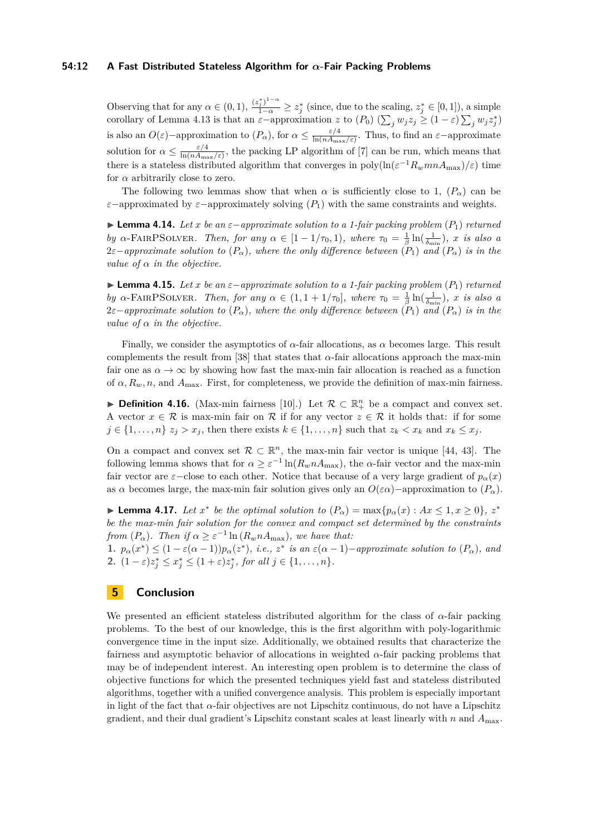## **54:12 A Fast Distributed Stateless Algorithm for** *α***-Fair Packing Problems**

Observing that for any  $\alpha \in (0, 1)$ ,  $\frac{(z_j^*)^{1-\alpha}}{1-\alpha} \geq z_j^*$  (since, due to the scaling,  $z_j^* \in [0, 1]$ ), a simple corollary of Lemma [4.13](#page-10-1) is that an  $\varepsilon$ -approximation *z* to  $(P_0)$  ( $\sum_j w_j z_j \geq (1 - \varepsilon) \sum_j w_j z_j^*$ ) is also an  $O(\varepsilon)$ -approximation to  $(P_\alpha)$ , for  $\alpha \leq \frac{\varepsilon/4}{\ln(nA_m)}$  $\frac{\varepsilon/4}{\ln(nA_{\max}/\varepsilon)}$ . Thus, to find an  $\varepsilon$ -approximate solution for  $\alpha \leq \frac{\varepsilon/4}{\ln(n)A}$  $\frac{\varepsilon/4}{\ln(nA_{\max}/\varepsilon)}$ , the packing LP algorithm of [\[7\]](#page-12-4) can be run, which means that there is a stateless distributed algorithm that converges in  $\text{poly}(\ln(\varepsilon^{-1}R_{w}mnA_{\text{max}})/\varepsilon)$  time for  $\alpha$  arbitrarily close to zero.

The following two lemmas show that when  $\alpha$  is sufficiently close to 1,  $(P_{\alpha})$  can be  $\varepsilon$ −approximated by  $\varepsilon$ −approximately solving  $(P_1)$  with the same constraints and weights.

<span id="page-11-0"></span>**► Lemma 4.14.** Let *x* be an  $\varepsilon$ −approximate solution to a 1-fair packing problem  $(P_1)$  returned *by*  $\alpha$ -FAIRPSOLVER*. Then, for any*  $\alpha \in [1 - 1/\tau_0, 1)$ *, where*  $\tau_0 = \frac{1}{\beta} \ln(\frac{1}{\delta_{\min}})$ *, x is also a*  $2\varepsilon$ −*approximate solution to*  $(P_\alpha)$ *, where the only difference between*  $(P_1)$  *and*  $(P_\alpha)$  *is in the value of*  $\alpha$  *in the objective.* 

<span id="page-11-1"></span>**► Lemma 4.15.** Let *x* be an  $\varepsilon$ -approximate solution to a 1-fair packing problem  $(P_1)$  returned *by*  $\alpha$ -FAIRPSOLVER*. Then, for any*  $\alpha \in (1, 1 + 1/\tau_0]$ *, where*  $\tau_0 = \frac{1}{\beta} \ln(\frac{1}{\delta_{\min}})$ *, x is also a*  $2\varepsilon$ −*approximate solution to*  $(P_\alpha)$ *, where the only difference between*  $(P_1)$  *and*  $(P_\alpha)$  *is in the value of*  $\alpha$  *in the objective.* 

Finally, we consider the asymptotics of  $\alpha$ -fair allocations, as  $\alpha$  becomes large. This result complements the result from [\[38\]](#page-13-5) that states that *α*-fair allocations approach the max-min fair one as  $\alpha \to \infty$  by showing how fast the max-min fair allocation is reached as a function of  $\alpha$ ,  $R_w$ ,  $n$ , and  $A_{\text{max}}$ . First, for completeness, we provide the definition of max-min fairness.

**Definition 4.16.** (Max-min fairness [\[10\]](#page-12-14).) Let  $\mathcal{R} \subset \mathbb{R}^n_+$  be a compact and convex set. A vector  $x \in \mathcal{R}$  is max-min fair on  $\mathcal{R}$  if for any vector  $z \in \mathcal{R}$  it holds that: if for some  $j \in \{1, \ldots, n\}$   $z_j > x_j$ , then there exists  $k \in \{1, \ldots, n\}$  such that  $z_k < x_k$  and  $x_k \leq x_j$ .

On a compact and convex set  $\mathcal{R} \subset \mathbb{R}^n$ , the max-min fair vector is unique [\[44,](#page-13-23) [43\]](#page-13-14). The following lemma shows that for  $\alpha \geq \varepsilon^{-1} \ln(R_w n A_{\text{max}})$ , the *α*-fair vector and the max-min fair vector are  $\varepsilon$ −close to each other. Notice that because of a very large gradient of  $p_\alpha(x)$ as *α* becomes large, the max-min fair solution gives only an  $O(\varepsilon \alpha)$ –approximation to  $(P_{\alpha})$ .

<span id="page-11-2"></span>► **Lemma 4.17.** *Let*  $x^*$  *be the optimal solution to*  $(P_\alpha) = \max\{p_\alpha(x) : Ax \leq 1, x \geq 0\}, z^*$ *be the max-min fair solution for the convex and compact set determined by the constraints from*  $(P_{\alpha})$ *. Then if*  $\alpha \geq \varepsilon^{-1} \ln(R_w n A_{\text{max}})$ *, we have that:* 

1.  $p_{\alpha}(x^*) \leq (1 - \varepsilon(\alpha - 1))p_{\alpha}(z^*)$ , *i.e.*,  $z^*$  *is an*  $\varepsilon(\alpha - 1)$ -*approximate solution to*  $(P_{\alpha})$ *, and* **2.**  $(1 - \varepsilon)z_j^* \leq x_j^* \leq (1 + \varepsilon)z_j^*$ , for all  $j \in \{1, ..., n\}$ .

## **5 Conclusion**

We presented an efficient stateless distributed algorithm for the class of *α*-fair packing problems. To the best of our knowledge, this is the first algorithm with poly-logarithmic convergence time in the input size. Additionally, we obtained results that characterize the fairness and asymptotic behavior of allocations in weighted *α*-fair packing problems that may be of independent interest. An interesting open problem is to determine the class of objective functions for which the presented techniques yield fast and stateless distributed algorithms, together with a unified convergence analysis. This problem is especially important in light of the fact that  $\alpha$ -fair objectives are not Lipschitz continuous, do not have a Lipschitz gradient, and their dual gradient's Lipschitz constant scales at least linearly with *n* and  $A_{\text{max}}$ .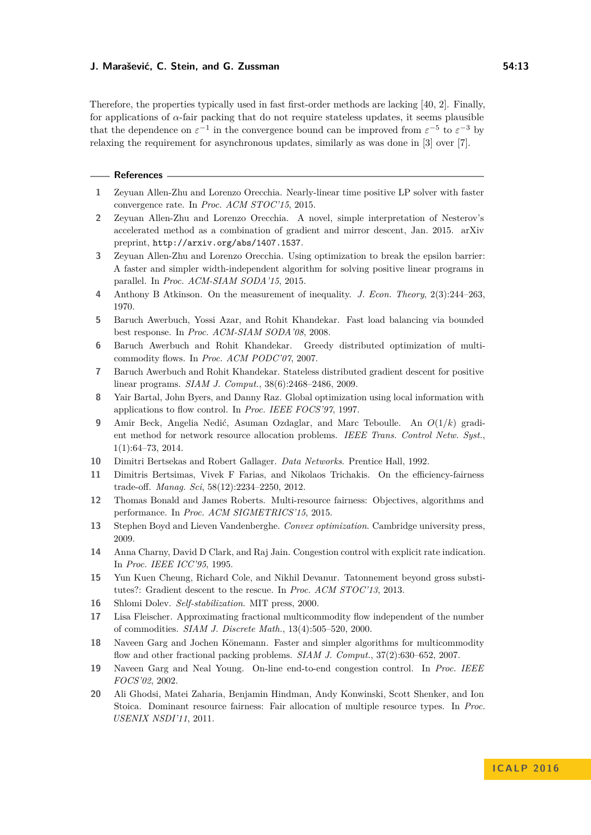Therefore, the properties typically used in fast first-order methods are lacking [\[40,](#page-13-18) [2\]](#page-12-19). Finally, for applications of  $\alpha$ -fair packing that do not require stateless updates, it seems plausible that the dependence on  $\varepsilon^{-1}$  in the convergence bound can be improved from  $\varepsilon^{-5}$  to  $\varepsilon^{-3}$  by relaxing the requirement for asynchronous updates, similarly as was done in [\[3\]](#page-12-5) over [\[7\]](#page-12-4).

## **References**

- <span id="page-12-12"></span>**1** Zeyuan Allen-Zhu and Lorenzo Orecchia. Nearly-linear time positive LP solver with faster convergence rate. In *Proc. ACM STOC'15*, 2015.
- <span id="page-12-19"></span>**2** Zeyuan Allen-Zhu and Lorenzo Orecchia. A novel, simple interpretation of Nesterov's accelerated method as a combination of gradient and mirror descent, Jan. 2015. arXiv preprint, <http://arxiv.org/abs/1407.1537>.
- <span id="page-12-5"></span>**3** Zeyuan Allen-Zhu and Lorenzo Orecchia. Using optimization to break the epsilon barrier: A faster and simpler width-independent algorithm for solving positive linear programs in parallel. In *Proc. ACM-SIAM SODA'15*, 2015.
- <span id="page-12-3"></span>**4** Anthony B Atkinson. On the measurement of inequality. *J. Econ. Theory*, 2(3):244–263, 1970.
- <span id="page-12-17"></span>**5** Baruch Awerbuch, Yossi Azar, and Rohit Khandekar. Fast load balancing via bounded best response. In *Proc. ACM-SIAM SODA'08*, 2008.
- <span id="page-12-7"></span>**6** Baruch Awerbuch and Rohit Khandekar. Greedy distributed optimization of multicommodity flows. In *Proc. ACM PODC'07*, 2007.
- <span id="page-12-4"></span>**7** Baruch Awerbuch and Rohit Khandekar. Stateless distributed gradient descent for positive linear programs. *SIAM J. Comput.*, 38(6):2468–2486, 2009.
- <span id="page-12-6"></span>**8** Yair Bartal, John Byers, and Danny Raz. Global optimization using local information with applications to flow control. In *Proc. IEEE FOCS'97*, 1997.
- <span id="page-12-8"></span>**9** Amir Beck, Angelia Nedić, Asuman Ozdaglar, and Marc Teboulle. An *O*(1*/k*) gradient method for network resource allocation problems. *IEEE Trans. Control Netw. Syst.*, 1(1):64–73, 2014.
- <span id="page-12-14"></span>**10** Dimitri Bertsekas and Robert Gallager. *Data Networks*. Prentice Hall, 1992.
- <span id="page-12-2"></span>**11** Dimitris Bertsimas, Vivek F Farias, and Nikolaos Trichakis. On the efficiency-fairness trade-off. *Manag. Sci*, 58(12):2234–2250, 2012.
- <span id="page-12-0"></span>**12** Thomas Bonald and James Roberts. Multi-resource fairness: Objectives, algorithms and performance. In *Proc. ACM SIGMETRICS'15*, 2015.
- <span id="page-12-13"></span>**13** Stephen Boyd and Lieven Vandenberghe. *Convex optimization*. Cambridge university press, 2009.
- <span id="page-12-15"></span>**14** Anna Charny, David D Clark, and Raj Jain. Congestion control with explicit rate indication. In *Proc. IEEE ICC'95*, 1995.
- <span id="page-12-9"></span>**15** Yun Kuen Cheung, Richard Cole, and Nikhil Devanur. Tatonnement beyond gross substitutes?: Gradient descent to the rescue. In *Proc. ACM STOC'13*, 2013.
- <span id="page-12-18"></span>**16** Shlomi Dolev. *Self-stabilization*. MIT press, 2000.
- <span id="page-12-11"></span>**17** Lisa Fleischer. Approximating fractional multicommodity flow independent of the number of commodities. *SIAM J. Discrete Math.*, 13(4):505–520, 2000.
- <span id="page-12-10"></span>**18** Naveen Garg and Jochen Könemann. Faster and simpler algorithms for multicommodity flow and other fractional packing problems. *SIAM J. Comput.*, 37(2):630–652, 2007.
- <span id="page-12-16"></span>**19** Naveen Garg and Neal Young. On-line end-to-end congestion control. In *Proc. IEEE FOCS'02*, 2002.
- <span id="page-12-1"></span>**20** Ali Ghodsi, Matei Zaharia, Benjamin Hindman, Andy Konwinski, Scott Shenker, and Ion Stoica. Dominant resource fairness: Fair allocation of multiple resource types. In *Proc. USENIX NSDI'11*, 2011.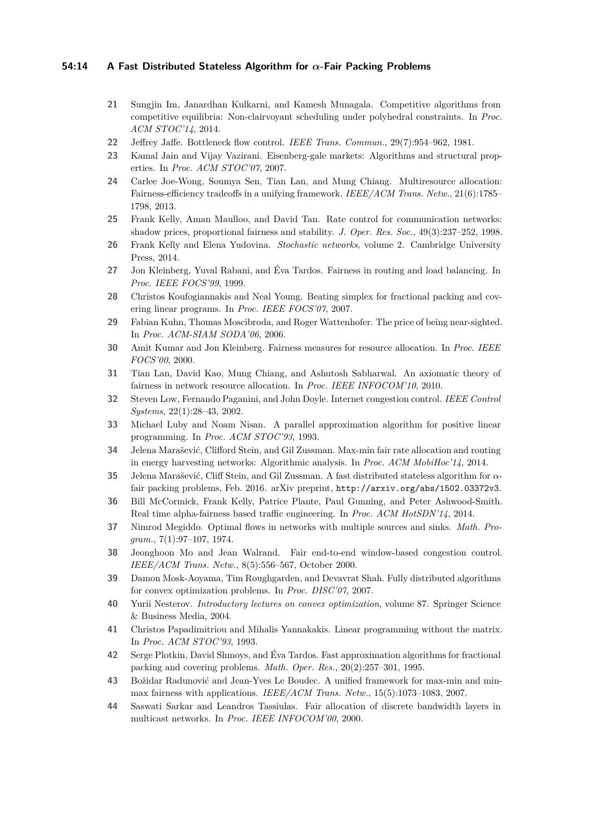## **54:14 A Fast Distributed Stateless Algorithm for** *α***-Fair Packing Problems**

- <span id="page-13-3"></span>**21** Sungjin Im, Janardhan Kulkarni, and Kamesh Munagala. Competitive algorithms from competitive equilibria: Non-clairvoyant scheduling under polyhedral constraints. In *Proc. ACM STOC'14*, 2014.
- <span id="page-13-19"></span>**22** Jeffrey Jaffe. Bottleneck flow control. *IEEE Trans. Commun.*, 29(7):954–962, 1981.
- <span id="page-13-4"></span>**23** Kamal Jain and Vijay Vazirani. Eisenberg-gale markets: Algorithms and structural properties. In *Proc. ACM STOC'07*, 2007.
- <span id="page-13-2"></span>**24** Carlee Joe-Wong, Soumya Sen, Tian Lan, and Mung Chiang. Multiresource allocation: Fairness-efficiency tradeoffs in a unifying framework. *IEEE/ACM Trans. Netw.*, 21(6):1785– 1798, 2013.
- <span id="page-13-11"></span>**25** Frank Kelly, Aman Maulloo, and David Tan. Rate control for communication networks: shadow prices, proportional fairness and stability. *J. Oper. Res. Soc.*, 49(3):237–252, 1998.
- <span id="page-13-10"></span>**26** Frank Kelly and Elena Yudovina. *Stochastic networks*, volume 2. Cambridge University Press, 2014.
- <span id="page-13-13"></span>**27** Jon Kleinberg, Yuval Rabani, and Éva Tardos. Fairness in routing and load balancing. In *Proc. IEEE FOCS'99*, 1999.
- <span id="page-13-17"></span>**28** Christos Koufogiannakis and Neal Young. Beating simplex for fractional packing and covering linear programs. In *Proc. IEEE FOCS'07*, 2007.
- <span id="page-13-7"></span>**29** Fabian Kuhn, Thomas Moscibroda, and Roger Wattenhofer. The price of being near-sighted. In *Proc. ACM-SIAM SODA'06*, 2006.
- <span id="page-13-20"></span>**30** Amit Kumar and Jon Kleinberg. Fairness measures for resource allocation. In *Proc. IEEE FOCS'00*, 2000.
- <span id="page-13-6"></span>**31** Tian Lan, David Kao, Mung Chiang, and Ashutosh Sabharwal. An axiomatic theory of fairness in network resource allocation. In *Proc. IEEE INFOCOM'10*, 2010.
- <span id="page-13-0"></span>**32** Steven Low, Fernando Paganini, and John Doyle. Internet congestion control. *IEEE Control Systems*, 22(1):28–43, 2002.
- <span id="page-13-8"></span>**33** Michael Luby and Noam Nisan. A parallel approximation algorithm for positive linear programming. In *Proc. ACM STOC'93*, 1993.
- <span id="page-13-22"></span>**34** Jelena Marašević, Clifford Stein, and Gil Zussman. Max-min fair rate allocation and routing in energy harvesting networks: Algorithmic analysis. In *Proc. ACM MobiHoc'14*, 2014.
- <span id="page-13-12"></span>**35** Jelena Marašević, Cliff Stein, and Gil Zussman. A fast distributed stateless algorithm for *α*fair packing problems, Feb. 2016. arXiv preprint, <http://arxiv.org/abs/1502.03372v3>.
- <span id="page-13-1"></span>**36** Bill McCormick, Frank Kelly, Patrice Plante, Paul Gunning, and Peter Ashwood-Smith. Real time alpha-fairness based traffic engineering. In *Proc. ACM HotSDN'14*, 2014.
- <span id="page-13-21"></span>**37** Nimrod Megiddo. Optimal flows in networks with multiple sources and sinks. *Math. Program.*, 7(1):97–107, 1974.
- <span id="page-13-5"></span>**38** Jeonghoon Mo and Jean Walrand. Fair end-to-end window-based congestion control. *IEEE/ACM Trans. Netw.*, 8(5):556–567, October 2000.
- <span id="page-13-15"></span>**39** Damon Mosk-Aoyama, Tim Roughgarden, and Devavrat Shah. Fully distributed algorithms for convex optimization problems. In *Proc. DISC'07*, 2007.
- <span id="page-13-18"></span>**40** Yurii Nesterov. *Introductory lectures on convex optimization*, volume 87. Springer Science & Business Media, 2004.
- <span id="page-13-9"></span>**41** Christos Papadimitriou and Mihalis Yannakakis. Linear programming without the matrix. In *Proc. ACM STOC'93*, 1993.
- <span id="page-13-16"></span>**42** Serge Plotkin, David Shmoys, and Éva Tardos. Fast approximation algorithms for fractional packing and covering problems. *Math. Oper. Res.*, 20(2):257–301, 1995.
- <span id="page-13-14"></span>**43** Božidar Radunović and Jean-Yves Le Boudec. A unified framework for max-min and minmax fairness with applications. *IEEE/ACM Trans. Netw.*, 15(5):1073–1083, 2007.
- <span id="page-13-23"></span>**44** Saswati Sarkar and Leandros Tassiulas. Fair allocation of discrete bandwidth layers in multicast networks. In *Proc. IEEE INFOCOM'00*, 2000.